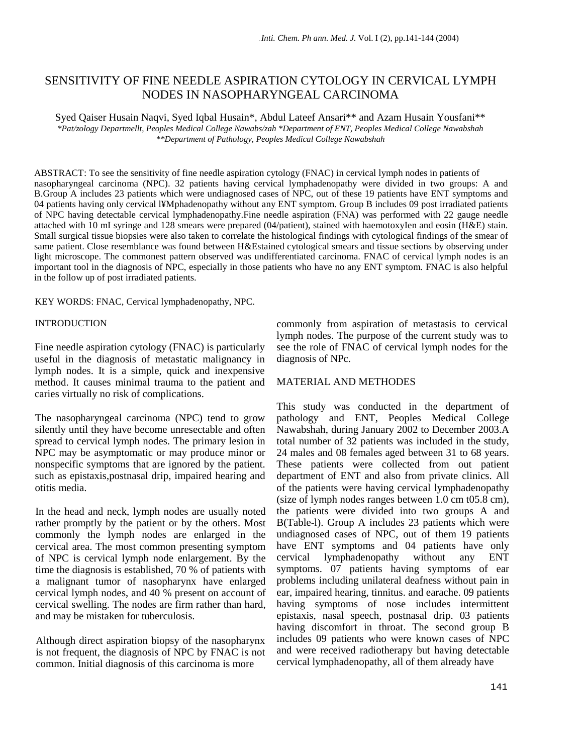# SENSITIVITY OF FINE NEEDLE ASPIRATION CYTOLOGY IN CERVICAL LYMPH NODES IN NASOPHARYNGEAL CARCINOMA

Syed Qaiser Husain Naqvi, Syed Iqbal Husain\*, Abdul Lateef Ansari\*\* and Azam Husain Yousfani\*\* *\*Pat/zology Departmellt, Peoples Medical College Nawabs/zah \*Department of ENT, Peoples Medical College Nawabshah \*\*Department of Pathology, Peoples Medical College Nawabshah* 

ABSTRACT: To see the sensitivity of fine needle aspiration cytology (FNAC) in cervical lymph nodes in patients of nasopharyngeal carcinoma (NPC). 32 patients having cervical lymphadenopathy were divided in two groups: A and B.Group A includes 23 patients which were undiagnosed cases of NPC, out of these 19 patients have ENT symptoms and 04 patients having only cervical l¥Mphadenopathy without any ENT symptom. Group B includes 09 post irradiated patients of NPC having detectable cervical lymphadenopathy.Fine needle aspiration (FNA) was performed with 22 gauge needle attached with 10 mI syringe and 128 smears were prepared (04/patient), stained with haemotoxyIen and eosin (H&E) stain. Small surgical tissue biopsies were also taken to correlate the histological findings with cytological findings of the smear of same patient. Close resemblance was found between H&Estained cytological smears and tissue sections by observing under light microscope. The commonest pattern observed was undifferentiated carcinoma. FNAC of cervical lymph nodes is an important tool in the diagnosis of NPC, especially in those patients who have no any ENT symptom. FNAC is also helpful in the follow up of post irradiated patients.

### KEY WORDS: FNAC, Cervical lymphadenopathy, NPC.

#### INTRODUCTION

Fine needle aspiration cytology (FNAC) is particularly useful in the diagnosis of metastatic malignancy in lymph nodes. It is a simple, quick and inexpensive method. It causes minimal trauma to the patient and caries virtually no risk of complications.

The nasopharyngeal carcinoma (NPC) tend to grow silently until they have become unresectable and often spread to cervical lymph nodes. The primary lesion in NPC may be asymptomatic or may produce minor or nonspecific symptoms that are ignored by the patient. such as epistaxis,postnasal drip, impaired hearing and otitis media.

In the head and neck, lymph nodes are usually noted rather promptly by the patient or by the others. Most commonly the lymph nodes are enlarged in the cervical area. The most common presenting symptom of NPC is cervical lymph node enlargement. By the time the diagnosis is established, 70 % of patients with a malignant tumor of nasopharynx have enlarged cervical lymph nodes, and 40 % present on account of cervical swelling. The nodes are firm rather than hard, and may be mistaken for tuberculosis.

Although direct aspiration biopsy of the nasopharynx is not frequent, the diagnosis of NPC by FNAC is not common. Initial diagnosis of this carcinoma is more

commonly from aspiration of metastasis to cervical lymph nodes. The purpose of the current study was to see the role of FNAC of cervical lymph nodes for the diagnosis of NPc.

## MATERIAL AND METHODES

This study was conducted in the department of pathology and ENT, Peoples Medical College Nawabshah, during January 2002 to December 2003.A total number of 32 patients was included in the study, 24 males and 08 females aged between 31 to 68 years. These patients were collected from out patient department of ENT and also from private clinics. All of the patients were having cervical lymphadenopathy (size of lymph nodes ranges between 1.0 cm t05.8 cm), the patients were divided into two groups A and B(Table-l). Group A includes 23 patients which were undiagnosed cases of NPC, out of them 19 patients have ENT symptoms and 04 patients have only<br>cervical lymphadenopathy without any ENT cervical lymphadenopathy without any ENT symptoms. 07 patients having symptoms of ear problems including unilateral deafness without pain in ear, impaired hearing, tinnitus. and earache. 09 patients having symptoms of nose includes intermittent epistaxis, nasal speech, postnasal drip. 03 patients having discomfort in throat. The second group B includes 09 patients who were known cases of NPC and were received radiotherapy but having detectable cervical lymphadenopathy, all of them already have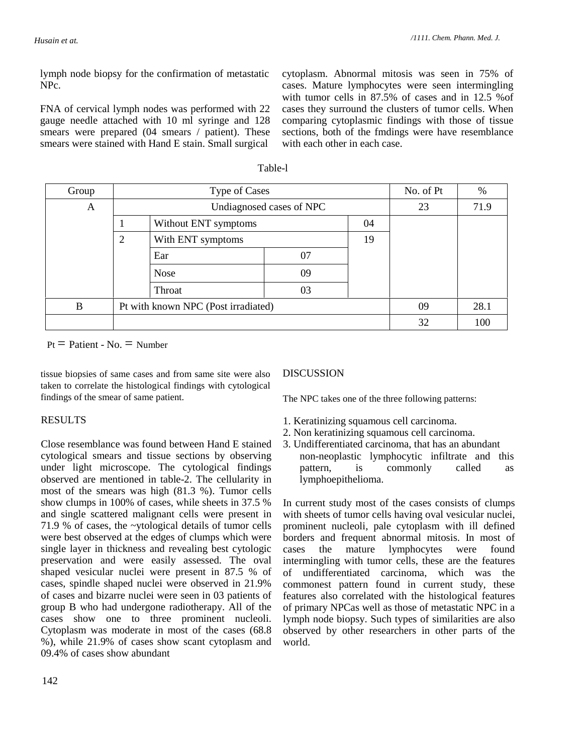lymph node biopsy for the confirmation of metastatic NPc.

FNA of cervical lymph nodes was performed with 22 gauge needle attached with 10 ml syringe and 128 smears were prepared (04 smears / patient). These smears were stained with Hand E stain. Small surgical

cytoplasm. Abnormal mitosis was seen in 75% of cases. Mature lymphocytes were seen intermingling with tumor cells in 87.5% of cases and in 12.5 %of cases they surround the clusters of tumor cells. When comparing cytoplasmic findings with those of tissue sections, both of the fmdings were have resemblance with each other in each case.

| Group | Type of Cases  |                                     |    |      | No. of Pt | %   |
|-------|----------------|-------------------------------------|----|------|-----------|-----|
| A     |                | Undiagnosed cases of NPC            |    | 23   | 71.9      |     |
|       |                | Without ENT symptoms                |    |      |           |     |
|       | $\overline{2}$ | With ENT symptoms                   |    | 19   |           |     |
|       |                | Ear                                 | 07 |      |           |     |
|       |                | <b>Nose</b>                         | 09 |      |           |     |
|       |                | Throat                              | 03 |      |           |     |
| B     |                | Pt with known NPC (Post irradiated) | 09 | 28.1 |           |     |
|       |                |                                     |    |      | 32        | 100 |

Table-l

 $Pt = Patient - No. = Number$ 

tissue biopsies of same cases and from same site were also taken to correlate the histological findings with cytological findings of the smear of same patient.

# RESULTS

Close resemblance was found between Hand E stained cytological smears and tissue sections by observing under light microscope. The cytological findings observed are mentioned in table-2. The cellularity in most of the smears was high (81.3 %). Tumor cells show clumps in 100% of cases, while sheets in 37.5 % and single scattered malignant cells were present in 71.9 % of cases, the ~ytological details of tumor cells were best observed at the edges of clumps which were single layer in thickness and revealing best cytologic preservation and were easily assessed. The oval shaped vesicular nuclei were present in 87.5 % of cases, spindle shaped nuclei were observed in 21.9% of cases and bizarre nuclei were seen in 03 patients of group B who had undergone radiotherapy. All of the cases show one to three prominent nucleoli. Cytoplasm was moderate in most of the cases (68.8 %), while 21.9% of cases show scant cytoplasm and 09.4% of cases show abundant

# DISCUSSION

The NPC takes one of the three following patterns:

- 1. Keratinizing squamous cell carcinoma.
- 2. Non keratinizing squamous cell carcinoma.
- 3. Undifferentiated carcinoma, that has an abundant non-neoplastic lymphocytic infiltrate and this pattern, is commonly called as lymphoepithelioma.

In current study most of the cases consists of clumps with sheets of tumor cells having oval vesicular nuclei, prominent nucleoli, pale cytoplasm with ill defined borders and frequent abnormal mitosis. In most of cases the mature lymphocytes were found intermingling with tumor cells, these are the features of undifferentiated carcinoma, which was the commonest pattern found in current study, these features also correlated with the histological features of primary NPCas well as those of metastatic NPC in a lymph node biopsy. Such types of similarities are also observed by other researchers in other parts of the world.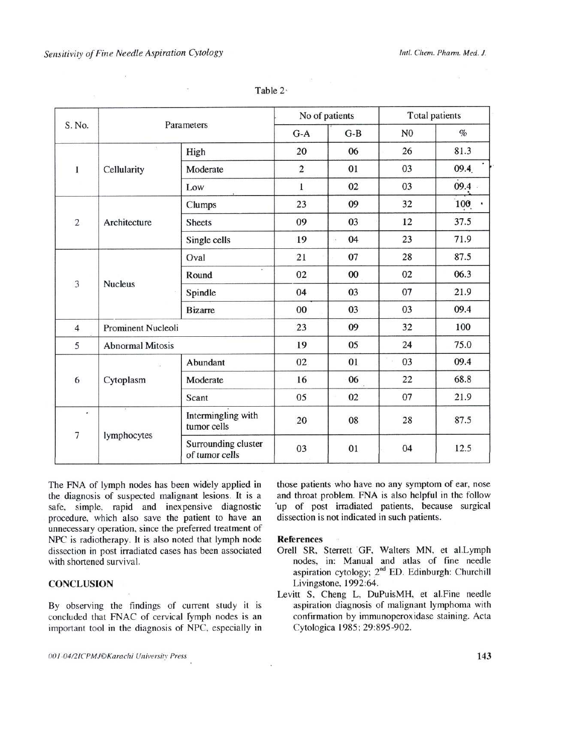|                      | Parameters                |                                       | No of patients |                            | <b>Total patients</b> |      |
|----------------------|---------------------------|---------------------------------------|----------------|----------------------------|-----------------------|------|
| S. No.               |                           |                                       | $G-A$          | $G-B$                      | N <sub>0</sub>        | $\%$ |
| 1                    | Cellularity               | High                                  | 20             | 06                         | 26                    | 81.3 |
|                      |                           | Moderate                              | $\overline{2}$ | 01                         | 03                    | 09.4 |
|                      |                           | Low                                   | $\mathbf{1}$   | 02                         | 03                    | 09.4 |
| $\overline{2}$       | Architecture              | Clumps                                | 23             | 09                         | 32                    | 100  |
|                      |                           | <b>Sheets</b>                         | 09             | 03                         | 12                    | 37.5 |
|                      |                           | Single cells                          | 19             | 04<br>$\ddot{\phantom{a}}$ | 23                    | 71.9 |
| 3                    | <b>Nucleus</b>            | Oval                                  | 21             | 07                         | 28                    | 87.5 |
|                      |                           | 运<br>Round                            | 02             | 00                         | 02                    | 06.3 |
|                      |                           | Spindle                               | 04             | 03                         | 07                    | 21.9 |
|                      |                           | <b>Bizarre</b>                        | 00             | 03                         | 03                    | 09.4 |
| $\overline{4}$       | <b>Prominent Nucleoli</b> |                                       | 23             | 09                         | 32                    | 100  |
| 5                    | <b>Abnormal Mitosis</b>   |                                       | 19             | 05                         | 24                    | 75.0 |
| 6                    | Cytoplasm                 | Abundant                              | 02             | 01                         | 03                    | 09.4 |
|                      |                           | Moderate                              | 16             | 06                         | 22                    | 68.8 |
|                      |                           | Scant                                 | 05             | 02                         | 07                    | 21.9 |
| ¥.<br>$\overline{7}$ | lymphocytes               | Intermingling with<br>tumor cells     | 20             | 08                         | 28                    | 87.5 |
|                      |                           | Surrounding cluster<br>of tumor cells | 03             | 01                         | 04                    | 12.5 |

Table 2.

The FNA of lymph nodes has been widely applied in the diagnosis of suspected malignant lesions. It is a safe, simple, rapid and inexpensive diagnostic procedure, which also save the patient to have an unnecessary operation, since the preferred treatment of NPC is radiotherapy. It is also noted that lymph node dissection in post irradiated cases has been associated with shortened survival.

## **CONCLUSION**

By observing the findings of current study it is concluded that FNAC of cervical fymph nodes is an important tool in the diagnosis of NPC, especially in

those patients who have no any symptom of ear, nose and throat problem. FNA is also helpful in the follow 'up of post irradiated patients, because surgical dissection is not indicated in such patients.

### **References**

- Orell SR, Sterrett GF, Walters MN, et al.Lymph nodes, in: Manual and atlas of fine needle aspiration cytology; 2<sup>nd</sup> ED. Edinburgh: Churchill Livingstone, 1992:64.
- Levitt S, Cheng L, DuPuisMH, et al.Fine needle aspiration diagnosis of malignant lymphoma with confirmation by immunoperoxidase staining. Acta Cytologica 1985; 29:895-902.